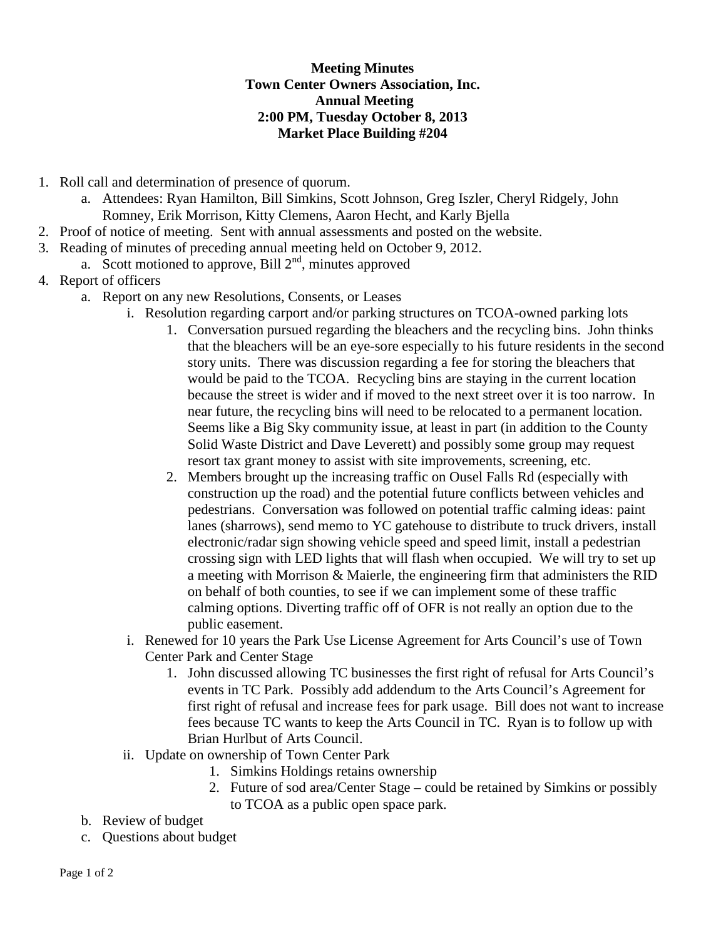## **Meeting Minutes Town Center Owners Association, Inc. Annual Meeting 2:00 PM, Tuesday October 8, 2013 Market Place Building #204**

- 1. Roll call and determination of presence of quorum.
	- a. Attendees: Ryan Hamilton, Bill Simkins, Scott Johnson, Greg Iszler, Cheryl Ridgely, John Romney, Erik Morrison, Kitty Clemens, Aaron Hecht, and Karly Bjella
- 2. Proof of notice of meeting. Sent with annual assessments and posted on the website.
- 3. Reading of minutes of preceding annual meeting held on October 9, 2012.
	- a. Scott motioned to approve, Bill  $2<sup>nd</sup>$ , minutes approved
- 4. Report of officers
	- a. Report on any new Resolutions, Consents, or Leases
		- i. Resolution regarding carport and/or parking structures on TCOA-owned parking lots
			- 1. Conversation pursued regarding the bleachers and the recycling bins. John thinks that the bleachers will be an eye-sore especially to his future residents in the second story units. There was discussion regarding a fee for storing the bleachers that would be paid to the TCOA. Recycling bins are staying in the current location because the street is wider and if moved to the next street over it is too narrow. In near future, the recycling bins will need to be relocated to a permanent location. Seems like a Big Sky community issue, at least in part (in addition to the County Solid Waste District and Dave Leverett) and possibly some group may request resort tax grant money to assist with site improvements, screening, etc.
			- 2. Members brought up the increasing traffic on Ousel Falls Rd (especially with construction up the road) and the potential future conflicts between vehicles and pedestrians. Conversation was followed on potential traffic calming ideas: paint lanes (sharrows), send memo to YC gatehouse to distribute to truck drivers, install electronic/radar sign showing vehicle speed and speed limit, install a pedestrian crossing sign with LED lights that will flash when occupied. We will try to set up a meeting with Morrison & Maierle, the engineering firm that administers the RID on behalf of both counties, to see if we can implement some of these traffic calming options. Diverting traffic off of OFR is not really an option due to the public easement.
		- i. Renewed for 10 years the Park Use License Agreement for Arts Council's use of Town Center Park and Center Stage
			- 1. John discussed allowing TC businesses the first right of refusal for Arts Council's events in TC Park. Possibly add addendum to the Arts Council's Agreement for first right of refusal and increase fees for park usage. Bill does not want to increase fees because TC wants to keep the Arts Council in TC. Ryan is to follow up with Brian Hurlbut of Arts Council.
		- ii. Update on ownership of Town Center Park
			- 1. Simkins Holdings retains ownership
			- 2. Future of sod area/Center Stage could be retained by Simkins or possibly to TCOA as a public open space park.
	- b. Review of budget
	- c. Questions about budget